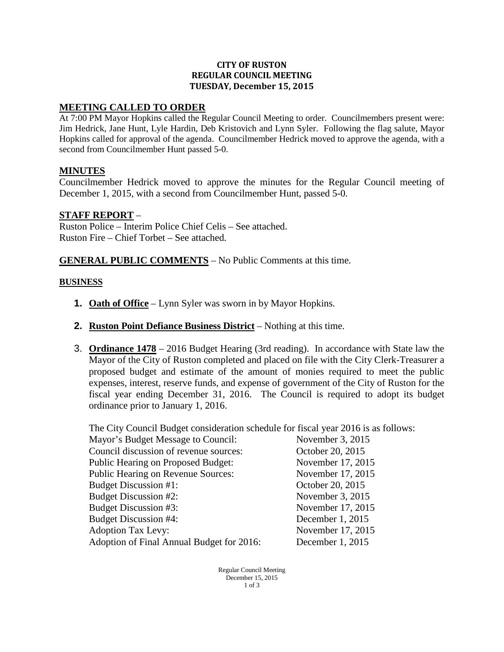#### **CITY OF RUSTON REGULAR COUNCIL MEETING TUESDAY, December 15, 2015**

#### **MEETING CALLED TO ORDER**

At 7:00 PM Mayor Hopkins called the Regular Council Meeting to order. Councilmembers present were: Jim Hedrick, Jane Hunt, Lyle Hardin, Deb Kristovich and Lynn Syler. Following the flag salute, Mayor Hopkins called for approval of the agenda. Councilmember Hedrick moved to approve the agenda, with a second from Councilmember Hunt passed 5-0.

### **MINUTES**

Councilmember Hedrick moved to approve the minutes for the Regular Council meeting of December 1, 2015, with a second from Councilmember Hunt, passed 5-0.

#### **STAFF REPORT** –

Ruston Police – Interim Police Chief Celis – See attached. Ruston Fire – Chief Torbet – See attached.

**GENERAL PUBLIC COMMENTS** – No Public Comments at this time.

#### **BUSINESS**

- **1. Oath of Office** Lynn Syler was sworn in by Mayor Hopkins.
- **2. Ruston Point Defiance Business District** Nothing at this time.
- 3. **Ordinance 1478** 2016 Budget Hearing (3rd reading). In accordance with State law the Mayor of the City of Ruston completed and placed on file with the City Clerk-Treasurer a proposed budget and estimate of the amount of monies required to meet the public expenses, interest, reserve funds, and expense of government of the City of Ruston for the fiscal year ending December 31, 2016. The Council is required to adopt its budget ordinance prior to January 1, 2016.

The City Council Budget consideration schedule for fiscal year 2016 is as follows:

| Mayor's Budget Message to Council:        | November 3, 2015  |
|-------------------------------------------|-------------------|
| Council discussion of revenue sources:    | October 20, 2015  |
| <b>Public Hearing on Proposed Budget:</b> | November 17, 2015 |
| <b>Public Hearing on Revenue Sources:</b> | November 17, 2015 |
| Budget Discussion #1:                     | October 20, 2015  |
| <b>Budget Discussion #2:</b>              | November 3, 2015  |
| Budget Discussion #3:                     | November 17, 2015 |
| <b>Budget Discussion #4:</b>              | December 1, 2015  |
| <b>Adoption Tax Levy:</b>                 | November 17, 2015 |
| Adoption of Final Annual Budget for 2016: | December 1, 2015  |

Regular Council Meeting December 15, 2015 1 of 3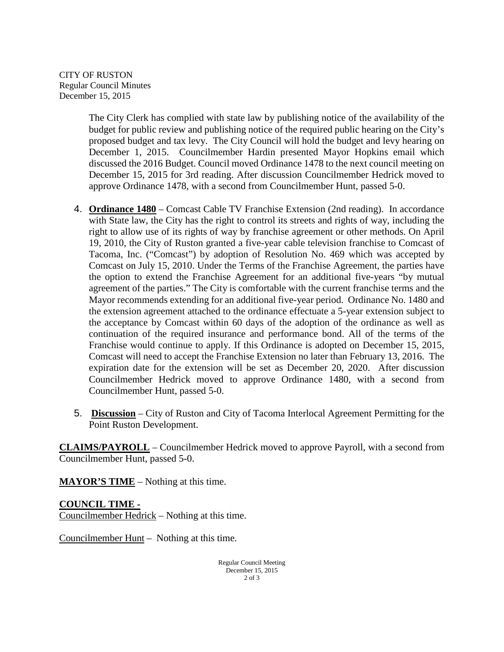CITY OF RUSTON Regular Council Minutes December 15, 2015

> The City Clerk has complied with state law by publishing notice of the availability of the budget for public review and publishing notice of the required public hearing on the City's proposed budget and tax levy. The City Council will hold the budget and levy hearing on December 1, 2015. Councilmember Hardin presented Mayor Hopkins email which discussed the 2016 Budget. Council moved Ordinance 1478 to the next council meeting on December 15, 2015 for 3rd reading. After discussion Councilmember Hedrick moved to approve Ordinance 1478, with a second from Councilmember Hunt, passed 5-0.

- 4. **Ordinance 1480** Comcast Cable TV Franchise Extension (2nd reading). In accordance with State law, the City has the right to control its streets and rights of way, including the right to allow use of its rights of way by franchise agreement or other methods. On April 19, 2010, the City of Ruston granted a five-year cable television franchise to Comcast of Tacoma, Inc. ("Comcast") by adoption of Resolution No. 469 which was accepted by Comcast on July 15, 2010. Under the Terms of the Franchise Agreement, the parties have the option to extend the Franchise Agreement for an additional five-years "by mutual agreement of the parties." The City is comfortable with the current franchise terms and the Mayor recommends extending for an additional five-year period. Ordinance No. 1480 and the extension agreement attached to the ordinance effectuate a 5-year extension subject to the acceptance by Comcast within 60 days of the adoption of the ordinance as well as continuation of the required insurance and performance bond. All of the terms of the Franchise would continue to apply. If this Ordinance is adopted on December 15, 2015, Comcast will need to accept the Franchise Extension no later than February 13, 2016. The expiration date for the extension will be set as December 20, 2020. After discussion Councilmember Hedrick moved to approve Ordinance 1480, with a second from Councilmember Hunt, passed 5-0.
- 5. **Discussion** City of Ruston and City of Tacoma Interlocal Agreement Permitting for the Point Ruston Development.

**CLAIMS/PAYROLL** – Councilmember Hedrick moved to approve Payroll, with a second from Councilmember Hunt, passed 5-0.

**MAYOR'S TIME** – Nothing at this time.

**COUNCIL TIME -** Councilmember Hedrick – Nothing at this time.

Councilmember Hunt – Nothing at this time.

Regular Council Meeting December 15, 2015 2 of 3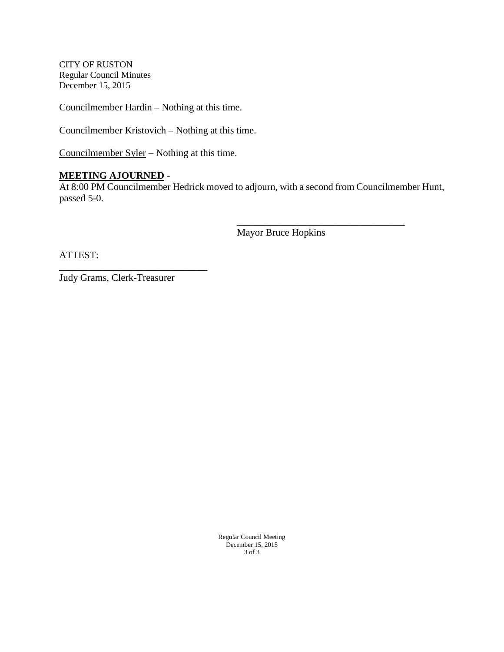CITY OF RUSTON Regular Council Minutes December 15, 2015

Councilmember Hardin – Nothing at this time.

Councilmember Kristovich – Nothing at this time.

Councilmember Syler – Nothing at this time.

### **MEETING AJOURNED** -

At 8:00 PM Councilmember Hedrick moved to adjourn, with a second from Councilmember Hunt, passed 5-0.

Mayor Bruce Hopkins

\_\_\_\_\_\_\_\_\_\_\_\_\_\_\_\_\_\_\_\_\_\_\_\_\_\_\_\_\_\_\_\_\_\_

ATTEST:

Judy Grams, Clerk-Treasurer

\_\_\_\_\_\_\_\_\_\_\_\_\_\_\_\_\_\_\_\_\_\_\_\_\_\_\_\_\_\_

Regular Council Meeting December 15, 2015 3 of 3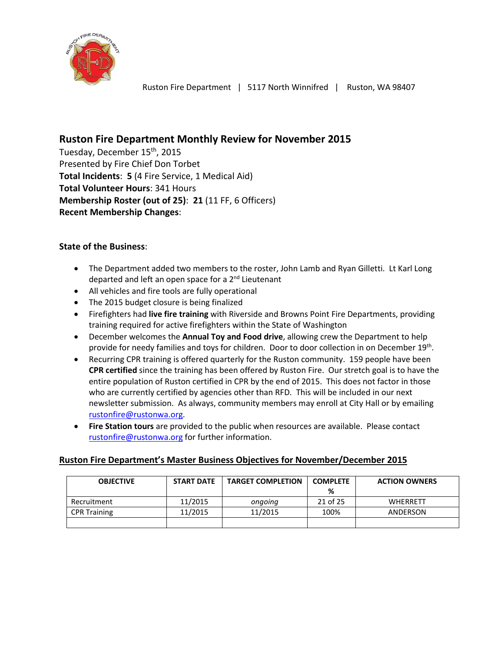

# **Ruston Fire Department Monthly Review for November 2015**

Tuesday, December 15<sup>th</sup>, 2015 Presented by Fire Chief Don Torbet **Total Incidents**: **5** (4 Fire Service, 1 Medical Aid) **Total Volunteer Hours**: 341 Hours **Membership Roster (out of 25)**: **21** (11 FF, 6 Officers) **Recent Membership Changes**:

## **State of the Business**:

- The Department added two members to the roster, John Lamb and Ryan Gilletti. Lt Karl Long departed and left an open space for a 2<sup>nd</sup> Lieutenant
- All vehicles and fire tools are fully operational
- The 2015 budget closure is being finalized
- Firefighters had **live fire training** with Riverside and Browns Point Fire Departments, providing training required for active firefighters within the State of Washington
- December welcomes the **Annual Toy and Food drive**, allowing crew the Department to help provide for needy families and toys for children. Door to door collection in on December 19<sup>th</sup>.
- Recurring CPR training is offered quarterly for the Ruston community. 159 people have been **CPR certified** since the training has been offered by Ruston Fire. Our stretch goal is to have the entire population of Ruston certified in CPR by the end of 2015. This does not factor in those who are currently certified by agencies other than RFD. This will be included in our next newsletter submission. As always, community members may enroll at City Hall or by emailing [rustonfire@rustonwa.org.](mailto:rustonfire@rustonwa.org)
- **Fire Station tours** are provided to the public when resources are available. Please contact [rustonfire@rustonwa.org](mailto:rustonfire@rustonwa.org) for further information.

## **Ruston Fire Department's Master Business Objectives for November/December 2015**

| <b>OBJECTIVE</b>    | <b>START DATE</b> | <b>TARGET COMPLETION</b> | <b>COMPLETE</b> | <b>ACTION OWNERS</b> |
|---------------------|-------------------|--------------------------|-----------------|----------------------|
|                     |                   |                          | %               |                      |
| Recruitment         | 11/2015           | ongoing                  | 21 of 25        | <b>WHERRETT</b>      |
| <b>CPR Training</b> | 11/2015           | 11/2015                  | 100%            | ANDERSON             |
|                     |                   |                          |                 |                      |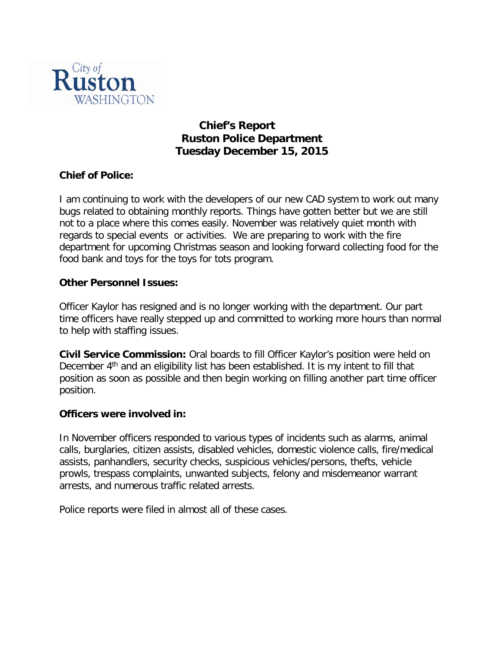

# **Chief's Report Ruston Police Department Tuesday December 15, 2015**

# **Chief of Police:**

I am continuing to work with the developers of our new CAD system to work out many bugs related to obtaining monthly reports. Things have gotten better but we are still not to a place where this comes easily. November was relatively quiet month with regards to special events or activities. We are preparing to work with the fire department for upcoming Christmas season and looking forward collecting food for the food bank and toys for the toys for tots program.

## **Other Personnel Issues:**

Officer Kaylor has resigned and is no longer working with the department. Our part time officers have really stepped up and committed to working more hours than normal to help with staffing issues.

**Civil Service Commission:** Oral boards to fill Officer Kaylor's position were held on December  $4<sup>th</sup>$  and an eligibility list has been established. It is my intent to fill that position as soon as possible and then begin working on filling another part time officer position.

## **Officers were involved in:**

In November officers responded to various types of incidents such as alarms, animal calls, burglaries, citizen assists, disabled vehicles, domestic violence calls, fire/medical assists, panhandlers, security checks, suspicious vehicles/persons, thefts, vehicle prowls, trespass complaints, unwanted subjects, felony and misdemeanor warrant arrests, and numerous traffic related arrests.

Police reports were filed in almost all of these cases.